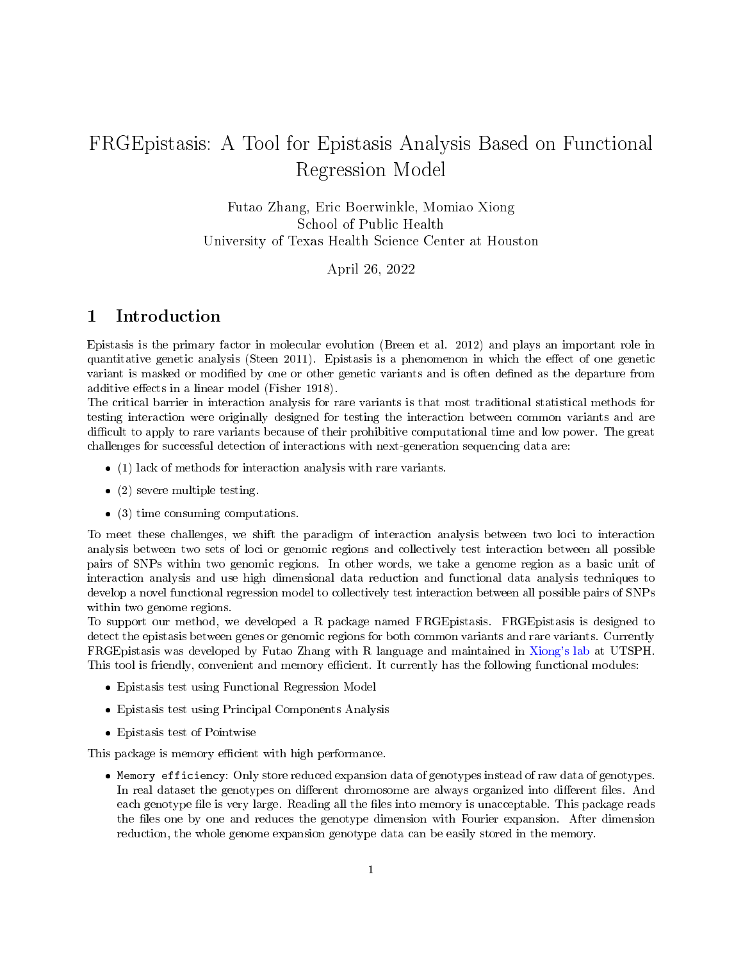# FRGEpistasis: A Tool for Epistasis Analysis Based on Functional Regression Model

Futao Zhang, Eric Boerwinkle, Momiao Xiong School of Public Health University of Texas Health Science Center at Houston

April 26, 2022

## 1 Introduction

Epistasis is the primary factor in molecular evolution (Breen et al. 2012) and plays an important role in quantitative genetic analysis (Steen 2011). Epistasis is a phenomenon in which the effect of one genetic variant is masked or modified by one or other genetic variants and is often defined as the departure from additive effects in a linear model (Fisher 1918).

The critical barrier in interaction analysis for rare variants is that most traditional statistical methods for testing interaction were originally designed for testing the interaction between common variants and are difficult to apply to rare variants because of their prohibitive computational time and low power. The great challenges for successful detection of interactions with next-generation sequencing data are:

- $\bullet$  (1) lack of methods for interaction analysis with rare variants.
- $\bullet$  (2) severe multiple testing.
- $\bullet$  (3) time consuming computations.

To meet these challenges, we shift the paradigm of interaction analysis between two loci to interaction analysis between two sets of loci or genomic regions and collectively test interaction between all possible pairs of SNPs within two genomic regions. In other words, we take a genome region as a basic unit of interaction analysis and use high dimensional data reduction and functional data analysis techniques to develop a novel functional regression model to collectively test interaction between all possible pairs of SNPs within two genome regions.

To support our method, we developed a R package named FRGEpistasis. FRGEpistasis is designed to detect the epistasis between genes or genomic regions for both common variants and rare variants. Currently FRGEpistasis was developed by Futao Zhang with R language and maintained in [Xiong's lab](https://sph.uth.edu/hgc/faculty/xiong/index.html) at UTSPH. This tool is friendly, convenient and memory efficient. It currently has the following functional modules:

- Epistasis test using Functional Regression Model
- Epistasis test using Principal Components Analysis
- Epistasis test of Pointwise

This package is memory efficient with high performance.

 Memory efficiency: Only store reduced expansion data of genotypes instead of raw data of genotypes. In real dataset the genotypes on different chromosome are always organized into different files. And each genotype file is very large. Reading all the files into memory is unacceptable. This package reads the files one by one and reduces the genotype dimension with Fourier expansion. After dimension reduction, the whole genome expansion genotype data can be easily stored in the memory.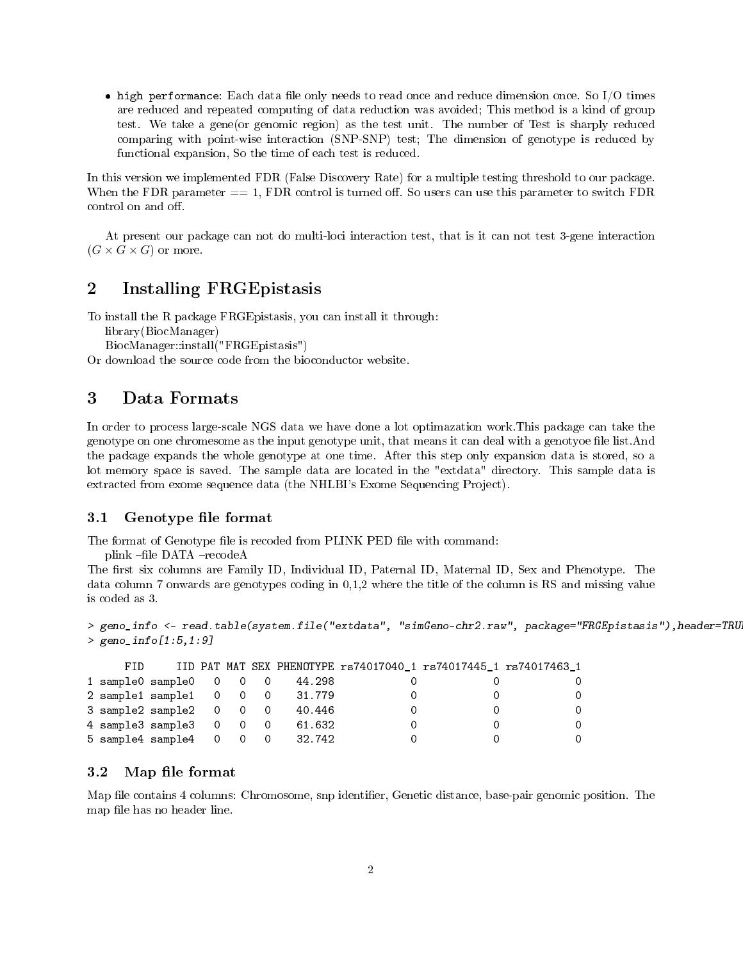$\bullet$  high performance: Each data file only needs to read once and reduce dimension once. So I/O times are reduced and repeated computing of data reduction was avoided; This method is a kind of group test. We take a gene(or genomic region) as the test unit. The number of Test is sharply reduced comparing with point-wise interaction (SNP-SNP) test; The dimension of genotype is reduced by functional expansion, So the time of each test is reduced.

In this version we implemented FDR (False Discovery Rate) for a multiple testing threshold to our package. When the FDR parameter  $== 1$ , FDR control is turned off. So users can use this parameter to switch FDR control on and off.

At present our package can not do multi-loci interaction test, that is it can not test 3-gene interaction  $(G \times G \times G)$  or more.

## 2 Installing FRGEpistasis

To install the R package FRGEpistasis, you can install it through:

library(BiocManager)

BiocManager::install("FRGEpistasis")

Or download the source code from the bioconductor website.

### 3 Data Formats

In order to process large-scale NGS data we have done a lot optimazation work.This package can take the genotype on one chromesome as the input genotype unit, that means it can deal with a genotype file list.And the package expands the whole genotype at one time. After this step only expansion data is stored, so a lot memory space is saved. The sample data are located in the "extdata" directory. This sample data is extracted from exome sequence data (the NHLBI's Exome Sequencing Project).

#### 3.1 Genotype file format

The format of Genotype file is recoded from PLINK PED file with command:

plink -file DATA -recodeA

The first six columns are Family ID, Individual ID, Paternal ID, Maternal ID, Sex and Phenotype. The data column 7 onwards are genotypes coding in 0,1,2 where the title of the column is RS and missing value is coded as 3.

```
> geno_info <- read.table(system.file("extdata", "simGeno-chr2.raw", package="FRGEpistasis"),header=TRU
> geno_info[1:5,1:9]
```

| FID. |  |  |                                    | IID PAT MAT SEX PHENOTYPE rs74017040 1 rs74017445 1 rs74017463 1 |          |
|------|--|--|------------------------------------|------------------------------------------------------------------|----------|
|      |  |  |                                    |                                                                  | $\Omega$ |
|      |  |  | 2 sample1 sample1 0 0 0 31.779     |                                                                  | $\Omega$ |
|      |  |  | 3 sample2 sample2 0 0 0 40.446     |                                                                  | $\Omega$ |
|      |  |  | 4 sample3 sample3 0 0 0 61.632     |                                                                  | $\Omega$ |
|      |  |  | 5 sample4 sample4  0  0  0  32.742 |                                                                  | $\Omega$ |

#### 3.2 Map file format

Map file contains 4 columns: Chromosome, snp identifier, Genetic distance, base-pair genomic position. The map file has no header line.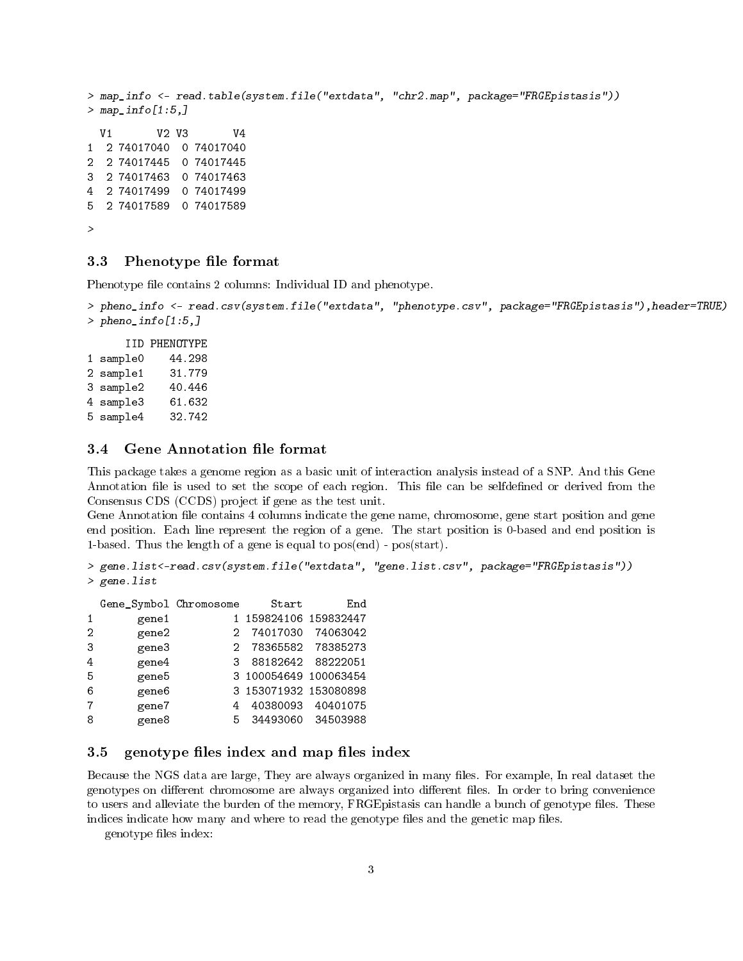```
> map_info <- read.table(system.file("extdata", "chr2.map", package="FRGEpistasis"))
> map_info[1:5,]
 V1 V2 V3 V4
1 2 74017040 0 74017040
2 2 74017445 0 74017445
3 2 74017463 0 74017463
4 2 74017499 0 74017499
5 2 74017589 0 74017589
>
```
#### 3.3 Phenotype file format

Phenotype file contains 2 columns: Individual ID and phenotype.

```
> pheno_info <- read.csv(system.file("extdata", "phenotype.csv", package="FRGEpistasis"),header=TRUE)
> pheno_info[1:5,]
```
IID PHENOTYPE 1 sample0 44.298 2 sample1 31.779 3 sample2 40.446 4 sample3 61.632 5 sample4 32.742

#### 3.4 Gene Annotation file format

This package takes a genome region as a basic unit of interaction analysis instead of a SNP. And this Gene Annotation file is used to set the scope of each region. This file can be selfdefined or derived from the Consensus CDS (CCDS) project if gene as the test unit.

Gene Annotation file contains 4 columns indicate the gene name, chromosome, gene start position and gene end position. Each line represent the region of a gene. The start position is 0-based and end position is 1-based. Thus the length of a gene is equal to pos(end) - pos(start).

```
> gene.list<-read.csv(system.file("extdata", "gene.list.csv", package="FRGEpistasis"))
> gene.list
```

|   | Gene_Symbol Chromosome |    | Start                 | End               |
|---|------------------------|----|-----------------------|-------------------|
| 1 | gene1                  |    | 1 159824106 159832447 |                   |
| 2 | gene2                  | 2  | 74017030              | 74063042          |
| 3 | gene3                  | 2. |                       | 78365582 78385273 |
| 4 | gene4                  | 3. | 88182642              | 88222051          |
| 5 | gene5                  |    | 3 100054649 100063454 |                   |
| 6 | gene6                  |    | 3 153071932 153080898 |                   |
| 7 | gene7                  | 4  | 40380093              | 40401075          |
| 8 | gene8                  | 5  | 34493060              | 34503988          |

#### 3.5 genotype files index and map files index

Because the NGS data are large, They are always organized in many files. For example, In real dataset the genotypes on different chromosome are always organized into different files. In order to bring convenience to users and alleviate the burden of the memory, FRGE pistasis can handle a bunch of genotype files. These indices indicate how many and where to read the genotype files and the genetic map files.

genotype files index: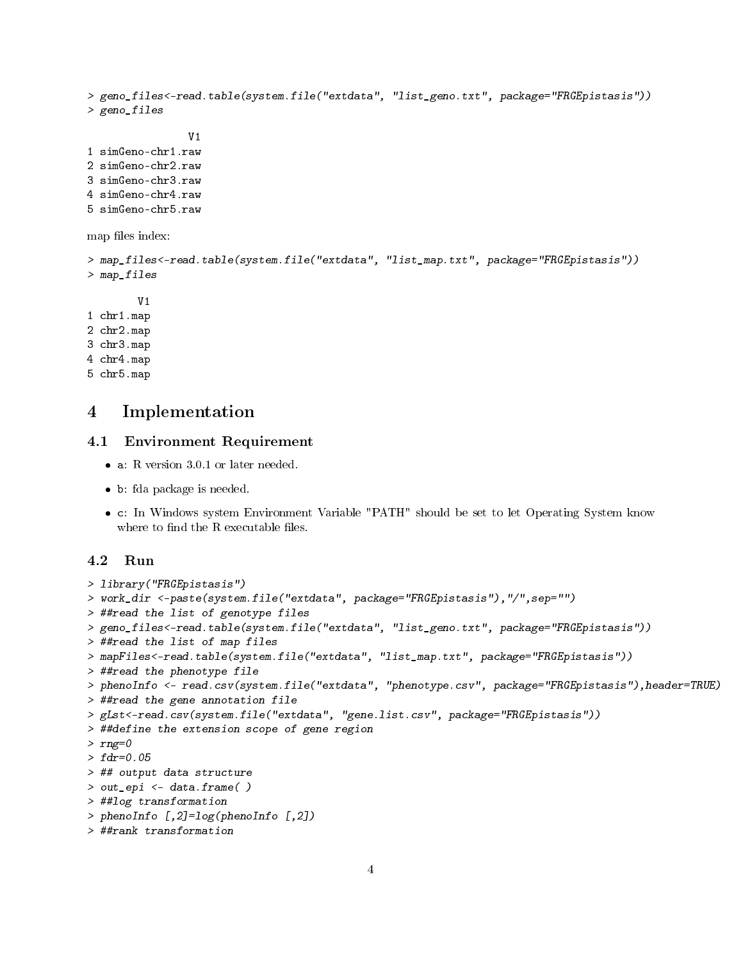```
> geno_files<-read.table(system.file("extdata", "list_geno.txt", package="FRGEpistasis"))
> geno_files
                V1
1 simGeno-chr1.raw
2 simGeno-chr2.raw
3 simGeno-chr3.raw
4 simGeno-chr4.raw
5 simGeno-chr5.raw
map files index:
> map_files<-read.table(system.file("extdata", "list_map.txt", package="FRGEpistasis"))
> map_files
        V1
1 chr1.map
2 chr2.map
3 chr3.map
4 chr4.map
5 chr5.map
```
## 4 Implementation

#### 4.1 Environment Requirement

- a: R version 3.0.1 or later needed.
- b: fda package is needed.
- c: In Windows system Environment Variable "PATH" should be set to let Operating System know where to find the  $R$  executable files.

#### 4.2 Run

```
> library("FRGEpistasis")
```

```
> work_dir <-paste(system.file("extdata", package="FRGEpistasis"),"/",sep="")
```

```
> ##read the list of genotype files
```

```
> geno_files<-read.table(system.file("extdata", "list_geno.txt", package="FRGEpistasis"))
```

```
> ##read the list of map files
```

```
> mapFiles<-read.table(system.file("extdata", "list_map.txt", package="FRGEpistasis"))
```

```
> ##read the phenotype file
```

```
> phenoInfo <- read.csv(system.file("extdata", "phenotype.csv", package="FRGEpistasis"),header=TRUE)
```

```
> ##read the gene annotation file
```

```
> gLst<-read.csv(system.file("extdata", "gene.list.csv", package="FRGEpistasis"))
```

```
> ##define the extension scope of gene region
```

```
> rng=0
```

```
> fdr=0.05
```

```
> ## output data structure
```

```
> out_epi <- data.frame( )
```

```
> ##log transformation
```

```
> phenoInfo [, 2] = log(phenofinfo [, 2])
```

```
> ##rank transformation
```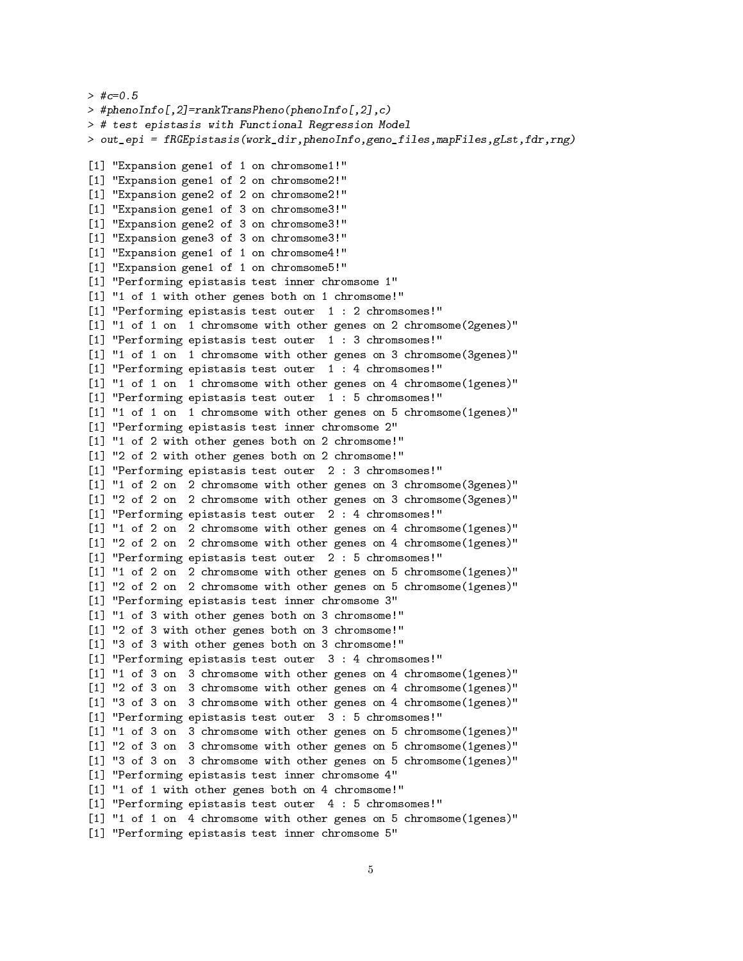```
> #c=0.5
> #phenoInfo[,2]=rankTransPheno(phenoInfo[,2],c)
> # test epistasis with Functional Regression Model
> out_epi = fRGEpistasis(work_dir,phenoInfo,geno_files,mapFiles,gLst,fdr,rng)
[1] "Expansion gene1 of 1 on chromsome1!"
[1] "Expansion gene1 of 2 on chromsome2!"
[1] "Expansion gene2 of 2 on chromsome2!"
[1] "Expansion gene1 of 3 on chromsome3!"
[1] "Expansion gene2 of 3 on chromsome3!"
[1] "Expansion gene3 of 3 on chromsome3!"
[1] "Expansion gene1 of 1 on chromsome4!"
[1] "Expansion gene1 of 1 on chromsome5!"
[1] "Performing epistasis test inner chromsome 1"
[1] "1 of 1 with other genes both on 1 chromsome!"
[1] "Performing epistasis test outer 1 : 2 chromsomes!"
[1] "1 of 1 on 1 chromsome with other genes on 2 chromsome (2genes)"
[1] "Performing epistasis test outer 1 : 3 chromsomes!"
[1] "1 of 1 on 1 chromsome with other genes on 3 chromsome (3genes)"
[1] "Performing epistasis test outer 1 : 4 chromsomes!"
[1] "1 of 1 on 1 chromsome with other genes on 4 chromsome(1genes)"
[1] "Performing epistasis test outer 1 : 5 chromsomes!"
[1] "1 of 1 on 1 chromsome with other genes on 5 chromsome(1genes)"
[1] "Performing epistasis test inner chromsome 2"
[1] "1 of 2 with other genes both on 2 chromsome!"
[1] "2 of 2 with other genes both on 2 chromsome!"
[1] "Performing epistasis test outer 2 : 3 chromsomes!"
[1] "1 of 2 on 2 chromsome with other genes on 3 chromsome(3genes)"
[1] "2 of 2 on 2 chromsome with other genes on 3 chromsome (3genes)"
[1] "Performing epistasis test outer 2 : 4 chromsomes!"
[1] "1 of 2 on 2 chromsome with other genes on 4 chromsome(1genes)"
[1] "2 of 2 on 2 chromsome with other genes on 4 chromsome(1genes)"
[1] "Performing epistasis test outer 2 : 5 chromsomes!"
[1] "1 of 2 on 2 chromsome with other genes on 5 chromsome(1genes)"
[1] "2 of 2 on 2 chromsome with other genes on 5 chromsome(1genes)"
[1] "Performing epistasis test inner chromsome 3"
[1] "1 of 3 with other genes both on 3 chromsome!"
[1] "2 of 3 with other genes both on 3 chromsome!"
[1] "3 of 3 with other genes both on 3 chromsome!"
[1] "Performing epistasis test outer 3 : 4 chromsomes!"
[1] "1 of 3 on 3 chromsome with other genes on 4 chromsome (1genes)"
[1] "2 of 3 on 3 chromsome with other genes on 4 chromsome(1genes)"
[1] "3 of 3 on 3 chromsome with other genes on 4 chromsome(1genes)"
[1] "Performing epistasis test outer 3 : 5 chromsomes!"
[1] "1 of 3 on 3 chromsome with other genes on 5 chromsome(1genes)"
[1] "2 of 3 on 3 chromsome with other genes on 5 chromsome(1genes)"
[1] "3 of 3 on 3 chromsome with other genes on 5 chromsome (1genes)"
[1] "Performing epistasis test inner chromsome 4"
[1] "1 of 1 with other genes both on 4 chromsome!"
[1] "Performing epistasis test outer 4 : 5 chromsomes!"
[1] "1 of 1 on 4 chromsome with other genes on 5 chromsome(1genes)"
[1] "Performing epistasis test inner chromsome 5"
```

```
5
```